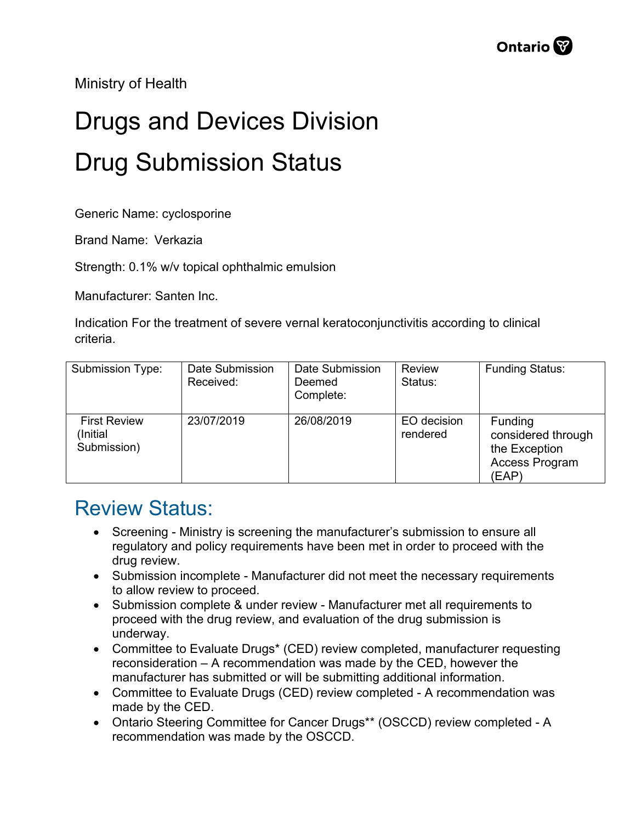Ministry of Health

## Drugs and Devices Division Drug Submission Status

Generic Name: cyclosporine

Brand Name: Verkazia

Strength: 0.1% w/v topical ophthalmic emulsion

Manufacturer: Santen Inc.

Indication For the treatment of severe vernal keratoconjunctivitis according to clinical criteria.

| Submission Type:                               | Date Submission<br>Received: | Date Submission<br>Deemed<br>Complete: | <b>Review</b><br>Status: | <b>Funding Status:</b>                                                    |
|------------------------------------------------|------------------------------|----------------------------------------|--------------------------|---------------------------------------------------------------------------|
| <b>First Review</b><br>(Initial<br>Submission) | 23/07/2019                   | 26/08/2019                             | EO decision<br>rendered  | Funding<br>considered through<br>the Exception<br>Access Program<br>(EAP) |

## Review Status:

- Screening Ministry is screening the manufacturer's submission to ensure all regulatory and policy requirements have been met in order to proceed with the drug review.
- Submission incomplete Manufacturer did not meet the necessary requirements to allow review to proceed.
- Submission complete & under review Manufacturer met all requirements to proceed with the drug review, and evaluation of the drug submission is underway.
- Committee to Evaluate Drugs\* (CED) review completed, manufacturer requesting reconsideration – A recommendation was made by the CED, however the manufacturer has submitted or will be submitting additional information.
- Committee to Evaluate Drugs (CED) review completed A recommendation was made by the CED.
- Ontario Steering Committee for Cancer Drugs\*\* (OSCCD) review completed A recommendation was made by the OSCCD.